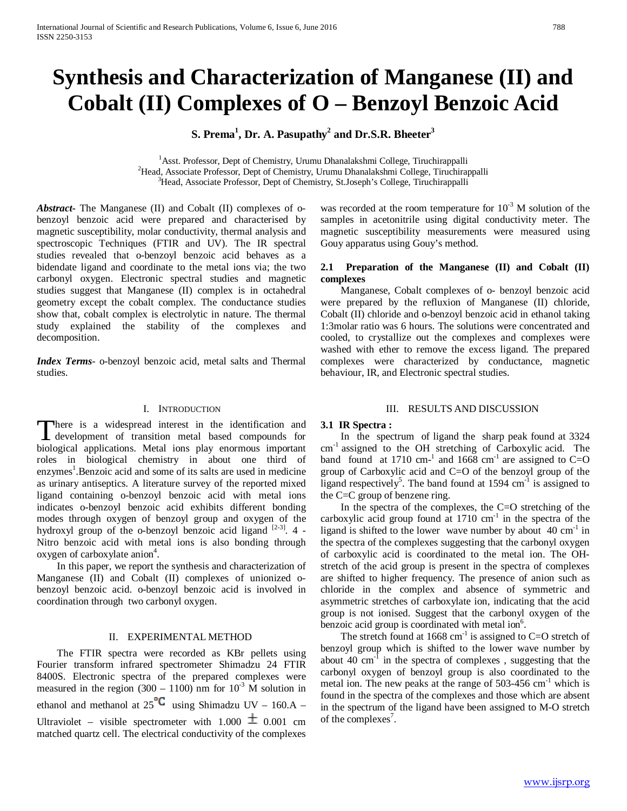# **Synthesis and Characterization of Manganese (II) and Cobalt (II) Complexes of O – Benzoyl Benzoic Acid**

**S. Prema<sup>1</sup> , Dr. A. Pasupathy<sup>2</sup> and Dr.S.R. Bheeter3**

<sup>1</sup> Asst. Professor, Dept of Chemistry, Urumu Dhanalakshmi College, Tiruchirappalli <sup>2</sup>Head, Associate Professor, Dept of Chemistry, Urumu Dhanalakshmi College, Tiruchirappalli <sup>3</sup>Head, Associate Professor, Dept of Chemistry, St.Joseph's College, Tiruchirappalli

*Abstract***-** The Manganese (II) and Cobalt (II) complexes of obenzoyl benzoic acid were prepared and characterised by magnetic susceptibility, molar conductivity, thermal analysis and spectroscopic Techniques (FTIR and UV). The IR spectral studies revealed that o-benzoyl benzoic acid behaves as a bidendate ligand and coordinate to the metal ions via; the two carbonyl oxygen. Electronic spectral studies and magnetic studies suggest that Manganese (II) complex is in octahedral geometry except the cobalt complex. The conductance studies show that, cobalt complex is electrolytic in nature. The thermal study explained the stability of the complexes and decomposition.

*Index Terms*- o-benzoyl benzoic acid, metal salts and Thermal studies.

# I. INTRODUCTION

here is a widespread interest in the identification and There is a widespread interest in the identification and development of transition metal based compounds for biological applications. Metal ions play enormous important roles in biological chemistry in about one third of enzymes<sup>1</sup>.Benzoic acid and some of its salts are used in medicine as urinary antiseptics. A literature survey of the reported mixed ligand containing o-benzoyl benzoic acid with metal ions indicates o-benzoyl benzoic acid exhibits different bonding modes through oxygen of benzoyl group and oxygen of the hydroxyl group of the o-benzoyl benzoic acid ligand  $[2-3]$ . 4 -Nitro benzoic acid with metal ions is also bonding through oxygen of carboxylate anion<sup>4</sup>.

 In this paper, we report the synthesis and characterization of Manganese (II) and Cobalt (II) complexes of unionized obenzoyl benzoic acid. o-benzoyl benzoic acid is involved in coordination through two carbonyl oxygen.

## II. EXPERIMENTAL METHOD

 The FTIR spectra were recorded as KBr pellets using Fourier transform infrared spectrometer Shimadzu 24 FTIR 8400S. Electronic spectra of the prepared complexes were measured in the region (300 – 1100) nm for  $10^{-3}$  M solution in ethanol and methanol at  $25^{\circ}C$  using Shimadzu UV – 160.A – Ultraviolet – visible spectrometer with  $1.000 \pm 0.001$  cm matched quartz cell. The electrical conductivity of the complexes was recorded at the room temperature for  $10^{-3}$  M solution of the samples in acetonitrile using digital conductivity meter. The magnetic susceptibility measurements were measured using Gouy apparatus using Gouy's method.

# **2.1 Preparation of the Manganese (II) and Cobalt (II) complexes**

 Manganese, Cobalt complexes of o- benzoyl benzoic acid were prepared by the refluxion of Manganese (II) chloride, Cobalt (II) chloride and o-benzoyl benzoic acid in ethanol taking 1:3molar ratio was 6 hours. The solutions were concentrated and cooled, to crystallize out the complexes and complexes were washed with ether to remove the excess ligand. The prepared complexes were characterized by conductance, magnetic behaviour, IR, and Electronic spectral studies.

## III. RESULTS AND DISCUSSION

## **3.1 IR Spectra :**

 In the spectrum of ligand the sharp peak found at 3324 cm-1 assigned to the OH stretching of Carboxylic acid. The band found at 1710 cm<sup>-1</sup> and 1668 cm<sup>-1</sup> are assigned to C=O group of Carboxylic acid and C=O of the benzoyl group of the ligand respectively<sup>5</sup>. The band found at 1594  $cm^{-1}$  is assigned to the C=C group of benzene ring.

 In the spectra of the complexes, the C=O stretching of the carboxylic acid group found at  $1710 \text{ cm}^{-1}$  in the spectra of the ligand is shifted to the lower wave number by about  $40 \text{ cm}^{-1}$  in the spectra of the complexes suggesting that the carbonyl oxygen of carboxylic acid is coordinated to the metal ion. The OHstretch of the acid group is present in the spectra of complexes are shifted to higher frequency. The presence of anion such as chloride in the complex and absence of symmetric and asymmetric stretches of carboxylate ion, indicating that the acid group is not ionised. Suggest that the carbonyl oxygen of the benzoic acid group is coordinated with metal ion<sup>6</sup>.

The stretch found at  $1668 \text{ cm}^{-1}$  is assigned to C=O stretch of benzoyl group which is shifted to the lower wave number by about 40 cm-1 in the spectra of complexes , suggesting that the carbonyl oxygen of benzoyl group is also coordinated to the metal ion. The new peaks at the range of  $503-456$   $cm^{-1}$  which is found in the spectra of the complexes and those which are absent in the spectrum of the ligand have been assigned to M-O stretch of the complexes<sup>7</sup>.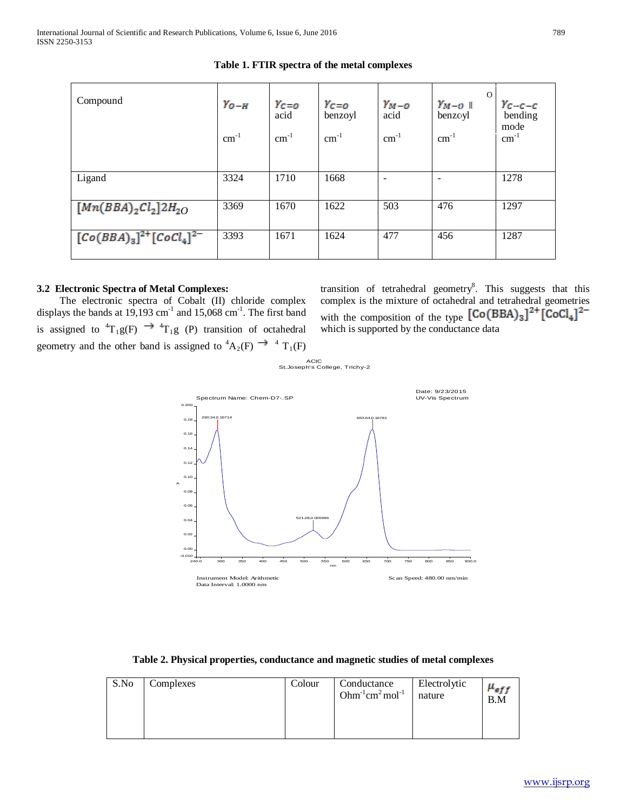| Compound                            | $Y_{O-H}$<br>$\text{cm}^{-1}$ | $Y_C = 0$<br>acid<br>$cm^{-1}$ | $Y_{C=O}$<br>benzoyl<br>$cm^{-1}$ | $Y_{M-O}$<br>acid<br>$cm^{-1}$ | $\Omega$<br>$Y_{M-O}$ 1<br>benzoyl<br>$cm^{-1}$ | $Y_{C-C-C}$<br>bending<br>mode<br>$\text{cm}^{-1}$ |
|-------------------------------------|-------------------------------|--------------------------------|-----------------------------------|--------------------------------|-------------------------------------------------|----------------------------------------------------|
| Ligand                              | 3324                          | 1710                           | 1668                              | $\overline{\phantom{0}}$       |                                                 | 1278                                               |
| $[Mn(BBA)_2Cl_2]2H_{2O}$            | 3369                          | 1670                           | 1622                              | 503                            | 476                                             | 1297                                               |
| $[Co(BBA)_{3}]^{2+}[CoCl_{4}]^{2-}$ | 3393                          | 1671                           | 1624                              | 477                            | 456                                             | 1287                                               |

**Table 1. FTIR spectra of the metal complexes**

# **3.2 Electronic Spectra of Metal Complexes:**

 The electronic spectra of Cobalt (II) chloride complex displays the bands at  $19,193$  cm<sup>-1</sup> and  $15,068$  cm<sup>-1</sup>. The first band is assigned to  ${}^{4}T_{1}g(F) \rightarrow {}^{4}T_{1}g(P)$  transition of octahedral geometry and the other band is assigned to  ${}^4A_2(F) \rightarrow {}^4T_1(F)$ 

transition of tetrahedral geometry<sup>8</sup>. This suggests that this complex is the mixture of octahedral and tetrahedral geometries with the composition of the type  $[Co(BBA)_3]^{\text{2+}}[CoCl_4]^{\text{2-}}$ which is supported by the conductance data





| S.No | Complexes | Colour | Conductance<br>Ohm <sup>-1</sup> cm <sup>2</sup> mol <sup>-1</sup> | Electrolytic<br>nature | $\mu_{eff}$<br>B.M |
|------|-----------|--------|--------------------------------------------------------------------|------------------------|--------------------|
|      |           |        |                                                                    |                        |                    |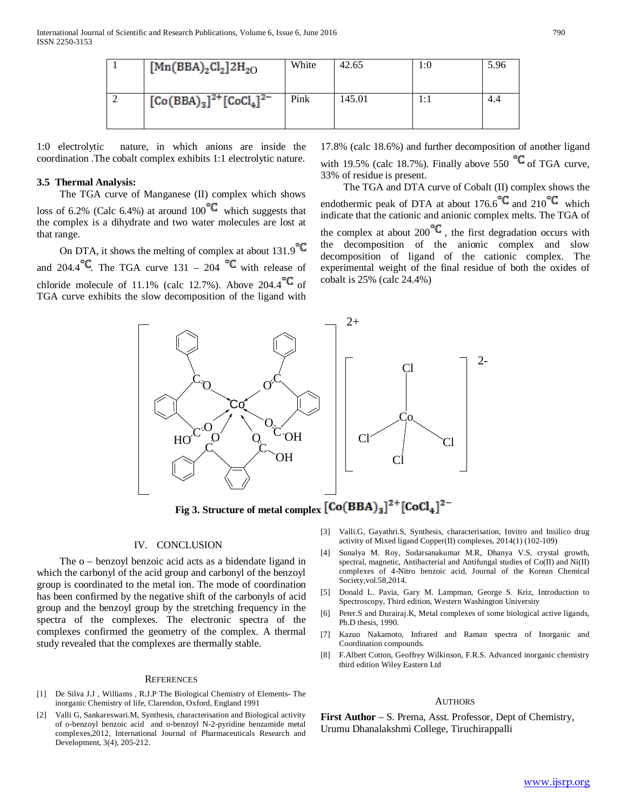| $[Mn(BBA)_2Cl_2]$ 2H <sub>2O</sub> | White | 42.65  | 1:0 | 5.96 |
|------------------------------------|-------|--------|-----|------|
| $[Co(BBA)3]^{2+}[CoCl4]^{2-}$      | Pink  | 145.01 | 1:1 | 4.4  |

1:0 electrolytic nature, in which anions are inside the coordination .The cobalt complex exhibits 1:1 electrolytic nature.

## **3.5 Thermal Analysis:**

 The TGA curve of Manganese (II) complex which shows loss of 6.2% (Calc 6.4%) at around 100 $\textdegree$  which suggests that the complex is a dihydrate and two water molecules are lost at that range.

On DTA, it shows the melting of complex at about  $131.9^{\circ}$ C and 204.4  $\textdegree$  The TGA curve 131 – 204  $\textdegree$  with release of chloride molecule of 11.1% (calc 12.7%). Above 204.4  $\mathbb{C}$  of TGA curve exhibits the slow decomposition of the ligand with

17.8% (calc 18.6%) and further decomposition of another ligand with 19.5% (calc 18.7%). Finally above 550  $\textdegree C$  of TGA curve, 33% of residue is present.

 The TGA and DTA curve of Cobalt (II) complex shows the endothermic peak of DTA at about 176.6<sup>°C</sup> and 210<sup>°C</sup> which indicate that the cationic and anionic complex melts. The TGA of the complex at about 200 $\mathrm{C}$ , the first degradation occurs with the decomposition of the anionic complex and slow decomposition of ligand of the cationic complex. The experimental weight of the final residue of both the oxides of cobalt is 25% (calc 24.4%)



Fig 3. Structure of metal complex  $\left[Co(BBA)_3\right]^{2+}\left[CoCl_4\right]^{2-}$ 

#### IV. CONCLUSION

 The o – benzoyl benzoic acid acts as a bidendate ligand in which the carbonyl of the acid group and carbonyl of the benzoyl group is coordinated to the metal ion. The mode of coordination has been confirmed by the negative shift of the carbonyls of acid group and the benzoyl group by the stretching frequency in the spectra of the complexes. The electronic spectra of the complexes confirmed the geometry of the complex. A thermal study revealed that the complexes are thermally stable.

#### **REFERENCES**

- [1] De Silva J.J , Williams , R.J.P The Biological Chemistry of Elements- The inorganic Chemistry of life, Clarendon, Oxford, England 1991
- [2] Valli G, Sankareswari.M, Synthesis, characterisation and Biological activity of o-benzoyl benzoic acid and o-benzoyl N-2-pyridine benzamide metal complexes,2012, International Journal of Pharmaceuticals Research and Development, 3(4), 205-212.
- [3] Valli.G, Gayathri.S, Synthesis, characterisation, Invitro and Insilico drug activity of Mixed ligand Copper(II) complexes, 2014(1) (102-109)
- [4] Sunalya M. Roy, Sudarsanakumar M.R, Dhanya V.S, crystal growth, spectral, magnetic, Antibacterial and Antifungal studies of Co(II) and Ni(II) complexes of 4-Nitro benzoic acid, Journal of the Korean Chemical Society,vol.58,2014.
- [5] Donald L. Pavia, Gary M. Lampman, George S. Kriz, Introduction to Spectroscopy, Third edition, Western Washington University
- [6] Peter.S and Durairaj.K, Metal complexes of some biological active ligands, Ph.D thesis, 1990.
- [7] Kazuo Nakamoto, Infrared and Raman spectra of Inorganic and Coordination compounds.
- [8] F.Albert Cotton, Geoffrey Wilkinson, F.R.S. Advanced inorganic chemistry third edition Wiley Eastern Ltd

#### **AUTHORS**

**First Author** – S. Prema, Asst. Professor, Dept of Chemistry, Urumu Dhanalakshmi College, Tiruchirappalli